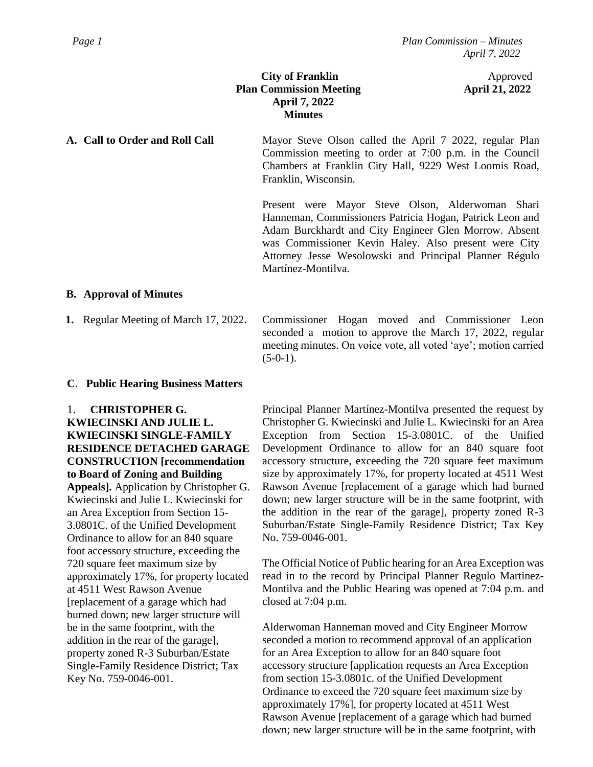# **City of Franklin** Approved **Plan Commission Meeting April 21, 2022 April 7, 2022 Minutes**

**A. Call to Order and Roll Call** Mayor Steve Olson called the April 7 2022, regular Plan Commission meeting to order at 7:00 p.m. in the Council Chambers at Franklin City Hall, 9229 West Loomis Road, Franklin, Wisconsin.

> Present were Mayor Steve Olson, Alderwoman Shari Hanneman, Commissioners Patricia Hogan, Patrick Leon and Adam Burckhardt and City Engineer Glen Morrow. Absent was Commissioner Kevin Haley. Also present were City Attorney Jesse Wesolowski and Principal Planner Régulo Martínez-Montilva.

## **B. Approval of Minutes**

**1.** Regular Meeting of March 17, 2022.

Commissioner Hogan moved and Commissioner Leon seconded a motion to approve the March 17, 2022, regular meeting minutes. On voice vote, all voted 'aye'; motion carried  $(5-0-1)$ .

## **C**. **Public Hearing Business Matters**

1. **CHRISTOPHER G.** 

**KWIECINSKI AND JULIE L. KWIECINSKI SINGLE-FAMILY RESIDENCE DETACHED GARAGE CONSTRUCTION [recommendation to Board of Zoning and Building Appeals].** Application by Christopher G. Kwiecinski and Julie L. Kwiecinski for an Area Exception from Section 15- 3.0801C. of the Unified Development Ordinance to allow for an 840 square foot accessory structure, exceeding the 720 square feet maximum size by approximately 17%, for property located at 4511 West Rawson Avenue [replacement of a garage which had burned down; new larger structure will be in the same footprint, with the addition in the rear of the garage], property zoned R-3 Suburban/Estate Single-Family Residence District; Tax Key No. 759-0046-001.

Principal Planner Martínez-Montilva presented the request by Christopher G. Kwiecinski and Julie L. Kwiecinski for an Area Exception from Section 15-3.0801C. of the Unified Development Ordinance to allow for an 840 square foot accessory structure, exceeding the 720 square feet maximum size by approximately 17%, for property located at 4511 West Rawson Avenue [replacement of a garage which had burned down; new larger structure will be in the same footprint, with the addition in the rear of the garage], property zoned R-3 Suburban/Estate Single-Family Residence District; Tax Key No. 759-0046-001.

The Official Notice of Public hearing for an Area Exception was read in to the record by Principal Planner Regulo Martinez-Montilva and the Public Hearing was opened at 7:04 p.m. and closed at 7:04 p.m.

Alderwoman Hanneman moved and City Engineer Morrow seconded a motion to recommend approval of an application for an Area Exception to allow for an 840 square foot accessory structure [application requests an Area Exception from section 15-3.0801c. of the Unified Development Ordinance to exceed the 720 square feet maximum size by approximately 17%], for property located at 4511 West Rawson Avenue [replacement of a garage which had burned down; new larger structure will be in the same footprint, with